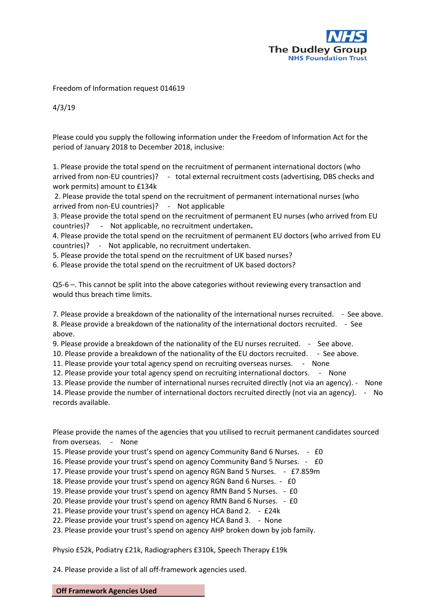

Freedom of Information request 014619

4/3/19

Please could you supply the following information under the Freedom of Information Act for the period of January 2018 to December 2018, inclusive:

1. Please provide the total spend on the recruitment of permanent international doctors (who arrived from non-EU countries)? - total external recruitment costs (advertising, DBS checks and work permits) amount to £134k

2. Please provide the total spend on the recruitment of permanent international nurses (who arrived from non-EU countries)? - Not applicable

3. Please provide the total spend on the recruitment of permanent EU nurses (who arrived from EU countries)? - Not applicable, no recruitment undertaken**.**

4. Please provide the total spend on the recruitment of permanent EU doctors (who arrived from EU countries)? - Not applicable, no recruitment undertaken.

5. Please provide the total spend on the recruitment of UK based nurses?

6. Please provide the total spend on the recruitment of UK based doctors?

Q5-6 –. This cannot be split into the above categories without reviewing every transaction and would thus breach time limits.

7. Please provide a breakdown of the nationality of the international nurses recruited. - See above. 8. Please provide a breakdown of the nationality of the international doctors recruited. - See above.

9. Please provide a breakdown of the nationality of the EU nurses recruited. - See above.

10. Please provide a breakdown of the nationality of the EU doctors recruited. - See above.

11. Please provide your total agency spend on recruiting overseas nurses. - None

12. Please provide your total agency spend on recruiting international doctors. - None

13. Please provide the number of international nurses recruited directly (not via an agency). - None

14. Please provide the number of international doctors recruited directly (not via an agency). - No records available.

Please provide the names of the agencies that you utilised to recruit permanent candidates sourced from overseas. - None

15. Please provide your trust's spend on agency Community Band 6 Nurses. - £0

16. Please provide your trust's spend on agency Community Band 5 Nurses. - £0

17. Please provide your trust's spend on agency RGN Band 5 Nurses. - £7.859m

18. Please provide your trust's spend on agency RGN Band 6 Nurses. - £0

19. Please provide your trust's spend on agency RMN Band 5 Nurses. - £0

20. Please provide your trust's spend on agency RMN Band 6 Nurses. - £0

21. Please provide your trust's spend on agency HCA Band 2. - £24k

22. Please provide your trust's spend on agency HCA Band 3. - None

23. Please provide your trust's spend on agency AHP broken down by job family.

Physio £52k, Podiatry £21k, Radiographers £310k, Speech Therapy £19k

24. Please provide a list of all off-framework agencies used.

**Off Framework Agencies Used**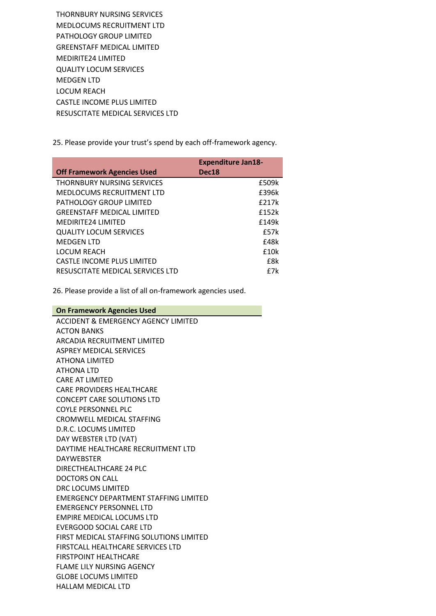THORNBURY NURSING SERVICES MEDLOCUMS RECRUITMENT LTD PATHOLOGY GROUP LIMITED GREENSTAFF MEDICAL LIMITED MEDIRITE24 LIMITED QUALITY LOCUM SERVICES MEDGEN LTD LOCUM REACH CASTLE INCOME PLUS LIMITED RESUSCITATE MEDICAL SERVICES LTD

25. Please provide your trust's spend by each off-framework agency.

|                                    | <b>Expenditure Jan18-</b> |  |
|------------------------------------|---------------------------|--|
| <b>Off Framework Agencies Used</b> | Dec <sub>18</sub>         |  |
| <b>THORNBURY NURSING SERVICES</b>  | £509k                     |  |
| <b>MEDLOCUMS RECRUITMENT LTD</b>   | £396k                     |  |
| PATHOLOGY GROUP LIMITED            | f217k                     |  |
| <b>GREENSTAFF MEDICAL LIMITED</b>  | £152k                     |  |
| <b>MEDIRITE24 LIMITED</b>          | f149k                     |  |
| <b>QUALITY LOCUM SERVICES</b>      | f57k                      |  |
| <b>MEDGEN LTD</b>                  | f48k                      |  |
| <b>LOCUM REACH</b>                 | £10k                      |  |
| CASTLF INCOME PLUS LIMITED         | f8k                       |  |
| RESUSCITATE MEDICAL SERVICES LTD   | f7k                       |  |

26. Please provide a list of all on-framework agencies used.

## **On Framework Agencies Used**

ACCIDENT & EMERGENCY AGENCY LIMITED ACTON BANKS ARCADIA RECRUITMENT LIMITED ASPREY MEDICAL SERVICES ATHONA LIMITED ATHONA LTD CARE AT LIMITED CARE PROVIDERS HEALTHCARE CONCEPT CARE SOLUTIONS LTD COYLE PERSONNEL PLC CROMWELL MEDICAL STAFFING D.R.C. LOCUMS LIMITED DAY WEBSTER LTD (VAT) DAYTIME HEALTHCARE RECRUITMENT LTD DAYWEBSTER DIRECTHEALTHCARE 24 PLC DOCTORS ON CALL DRC LOCUMS LIMITED EMERGENCY DEPARTMENT STAFFING LIMITED EMERGENCY PERSONNEL LTD EMPIRE MEDICAL LOCUMS LTD EVERGOOD SOCIAL CARE LTD FIRST MEDICAL STAFFING SOLUTIONS LIMITED FIRSTCALL HEALTHCARE SERVICES LTD FIRSTPOINT HEALTHCARE FLAME LILY NURSING AGENCY GLOBE LOCUMS LIMITED HALLAM MEDICAL LTD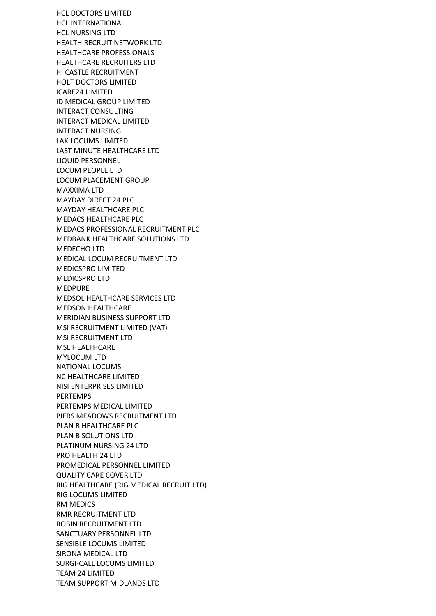HCL DOCTORS LIMITED HCL INTERNATIONAL HCL NURSING LTD HEALTH RECRUIT NETWORK LTD HEALTHCARE PROFESSIONALS HEALTHCARE RECRUITERS LTD HI CASTLE RECRUITMENT HOLT DOCTORS LIMITED ICARE24 LIMITED ID MEDICAL GROUP LIMITED INTERACT CONSULTING INTERACT MEDICAL LIMITED INTERACT NURSING LAK LOCUMS LIMITED LAST MINUTE HEALTHCARE LTD LIQUID PERSONNEL LOCUM PEOPLE LTD LOCUM PLACEMENT GROUP MAXXIMA LTD MAYDAY DIRECT 24 PLC MAYDAY HEALTHCARE PLC MEDACS HEALTHCARE PLC MEDACS PROFESSIONAL RECRUITMENT PLC MEDBANK HEALTHCARE SOLUTIONS LTD MEDECHO LTD MEDICAL LOCUM RECRUITMENT LTD MEDICSPRO LIMITED MEDICSPRO LTD MEDPURE MEDSOL HEALTHCARE SERVICES LTD MEDSON HEALTHCARE MERIDIAN BUSINESS SUPPORT LTD MSI RECRUITMENT LIMITED (VAT) MSI RECRUITMENT LTD MSL HEALTHCARE MYLOCUM LTD NATIONAL LOCUMS NC HEALTHCARE LIMITED NISI ENTERPRISES LIMITED PERTEMPS PERTEMPS MEDICAL LIMITED PIERS MEADOWS RECRUITMENT LTD PLAN B HEALTHCARE PLC PLAN B SOLUTIONS LTD PLATINUM NURSING 24 LTD PRO HEALTH 24 LTD PROMEDICAL PERSONNEL LIMITED QUALITY CARE COVER LTD RIG HEALTHCARE (RIG MEDICAL RECRUIT LTD) RIG LOCUMS LIMITED RM MEDICS RMR RECRUITMENT LTD ROBIN RECRUITMENT LTD SANCTUARY PERSONNEL LTD SENSIBLE LOCUMS LIMITED SIRONA MEDICAL LTD SURGI-CALL LOCUMS LIMITED TEAM 24 LIMITED TEAM SUPPORT MIDLANDS LTD